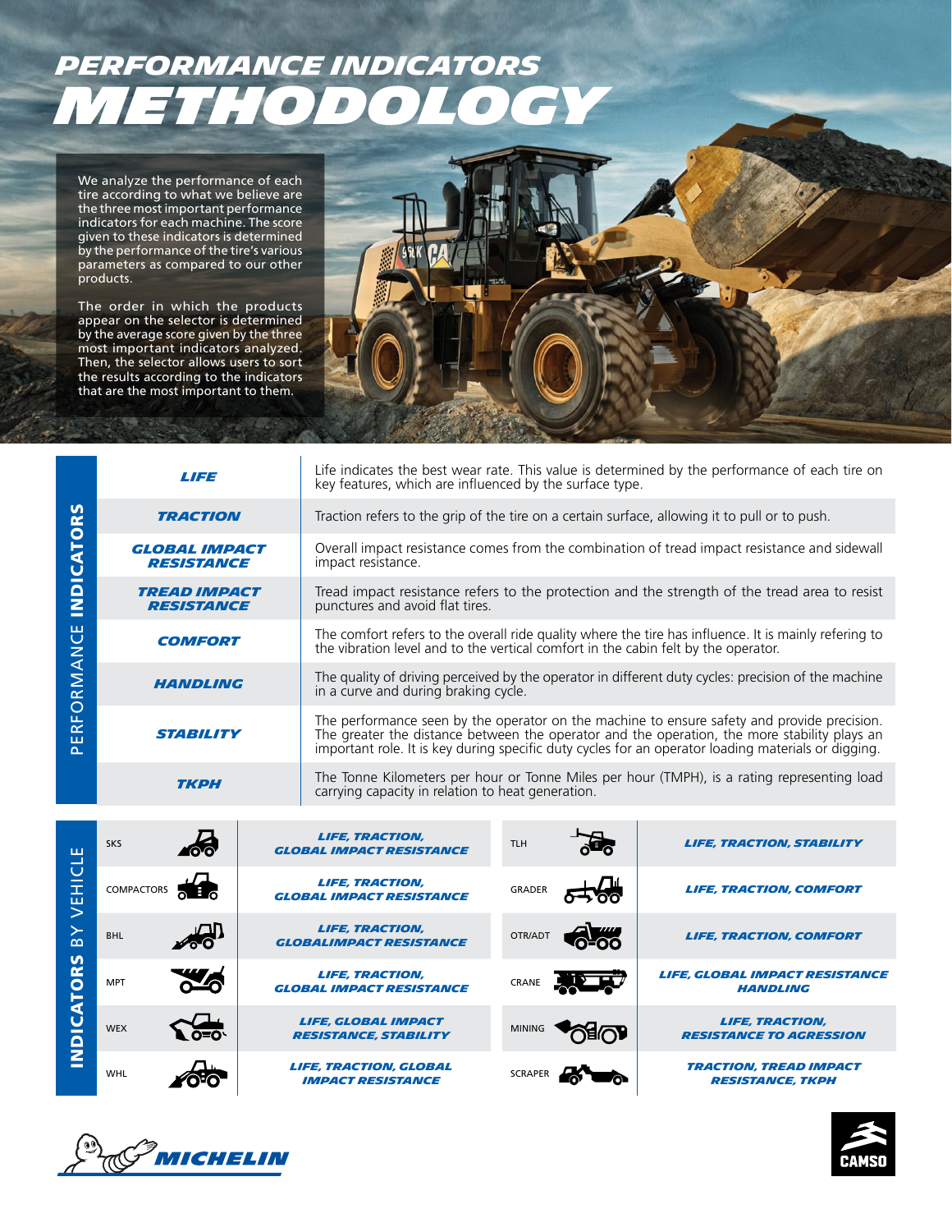# *PERFORMANCE INDICATORS METHODOLOGY*

We analyze the performance of each tire according to what we believe are the three most important performance indicators for each machine. The score given to these indicators is determined by the performance of the tire's various parameters as compared to our other products.

The order in which the products appear on the selector is determined by the average score given by the three most important indicators analyzed. Then, the selector allows users to sort the results according to the indicators that are the most important to them.



|                                              | <b>LIFE</b>                               |  | key features, which are influenced by the surface type.                                                                                                                                                                                                                                            | Life indicates the best wear rate. This value is determined by the performance of each tire on |                                                                                             |                                                          |  |
|----------------------------------------------|-------------------------------------------|--|----------------------------------------------------------------------------------------------------------------------------------------------------------------------------------------------------------------------------------------------------------------------------------------------------|------------------------------------------------------------------------------------------------|---------------------------------------------------------------------------------------------|----------------------------------------------------------|--|
|                                              | <b>TRACTION</b>                           |  | Traction refers to the grip of the tire on a certain surface, allowing it to pull or to push.                                                                                                                                                                                                      |                                                                                                |                                                                                             |                                                          |  |
| <b>INDICATORS</b>                            | <b>GLOBAL IMPACT</b><br><b>RESISTANCE</b> |  | Overall impact resistance comes from the combination of tread impact resistance and sidewall<br>impact resistance.                                                                                                                                                                                 |                                                                                                |                                                                                             |                                                          |  |
|                                              | <b>TREAD IMPACT</b><br><b>RESISTANCE</b>  |  | Tread impact resistance refers to the protection and the strength of the tread area to resist<br>punctures and avoid flat tires.                                                                                                                                                                   |                                                                                                |                                                                                             |                                                          |  |
|                                              | <b>COMFORT</b>                            |  | The comfort refers to the overall ride quality where the tire has influence. It is mainly refering to<br>the vibration level and to the vertical comfort in the cabin felt by the operator.                                                                                                        |                                                                                                |                                                                                             |                                                          |  |
| ORMANCE                                      | <b>HANDLING</b>                           |  | The quality of driving perceived by the operator in different duty cycles: precision of the machine<br>in a curve and during braking cycle.                                                                                                                                                        |                                                                                                |                                                                                             |                                                          |  |
| ũ.<br>$\propto$<br>ш<br>௳                    | <i><b>STABILITY</b></i>                   |  | The performance seen by the operator on the machine to ensure safety and provide precision.<br>The greater the distance between the operator and the operation, the more stability plays an<br>important role. It is key during specific duty cycles for an operator loading materials or digging. |                                                                                                |                                                                                             |                                                          |  |
|                                              | <b>TKPH</b>                               |  | carrying capacity in relation to heat generation.                                                                                                                                                                                                                                                  |                                                                                                | The Tonne Kilometers per hour or Tonne Miles per hour (TMPH), is a rating representing load |                                                          |  |
| ш                                            | <b>SKS</b>                                |  | <b>LIFE, TRACTION,</b><br><b>GLOBAL IMPACT RESISTANCE</b>                                                                                                                                                                                                                                          | <b>TLH</b>                                                                                     |                                                                                             | <b>LIFE, TRACTION, STABILITY</b>                         |  |
| VEHICL                                       | COMPACTORS                                |  | <b>LIFE, TRACTION,</b><br><b>GLOBAL IMPACT RESISTANCE</b>                                                                                                                                                                                                                                          | <b>GRADER</b>                                                                                  |                                                                                             | <b>LIFE, TRACTION, COMFORT</b>                           |  |
| $\mathsf{B} \mathsf{Y}$<br><b>INDICATORS</b> | <b>BHL</b>                                |  | <b>LIFE, TRACTION,</b><br><b>GLOBALIMPACT RESISTANCE</b>                                                                                                                                                                                                                                           | OTR/ADT                                                                                        |                                                                                             | <b>LIFE, TRACTION, COMFORT</b>                           |  |
|                                              | <b>MPT</b>                                |  | <b>LIFE, TRACTION,</b><br><b>GLOBAL IMPACT RESISTANCE</b>                                                                                                                                                                                                                                          | CRANE                                                                                          |                                                                                             | <b>LIFE. GLOBAL IMPACT RESISTANCE</b><br><b>HANDLING</b> |  |
|                                              | <b>WEX</b>                                |  | <b>LIFE, GLOBAL IMPACT</b><br><b>RESISTANCE, STABILITY</b>                                                                                                                                                                                                                                         |                                                                                                |                                                                                             | <b>LIFE, TRACTION,</b><br><b>RESISTANCE TO AGRESSION</b> |  |
|                                              | <b>WHL</b>                                |  | <b>LIFE, TRACTION, GLOBAL</b><br><b>IMPACT RESISTANCE</b>                                                                                                                                                                                                                                          | <b>SCRAPER</b>                                                                                 |                                                                                             | <b>TRACTION, TREAD IMPACT</b><br><b>RESISTANCE, TKPH</b> |  |

*IRACTION, TREAD IMPACT*<br>*RESISTANCE, TKPH resistance, TKPH*



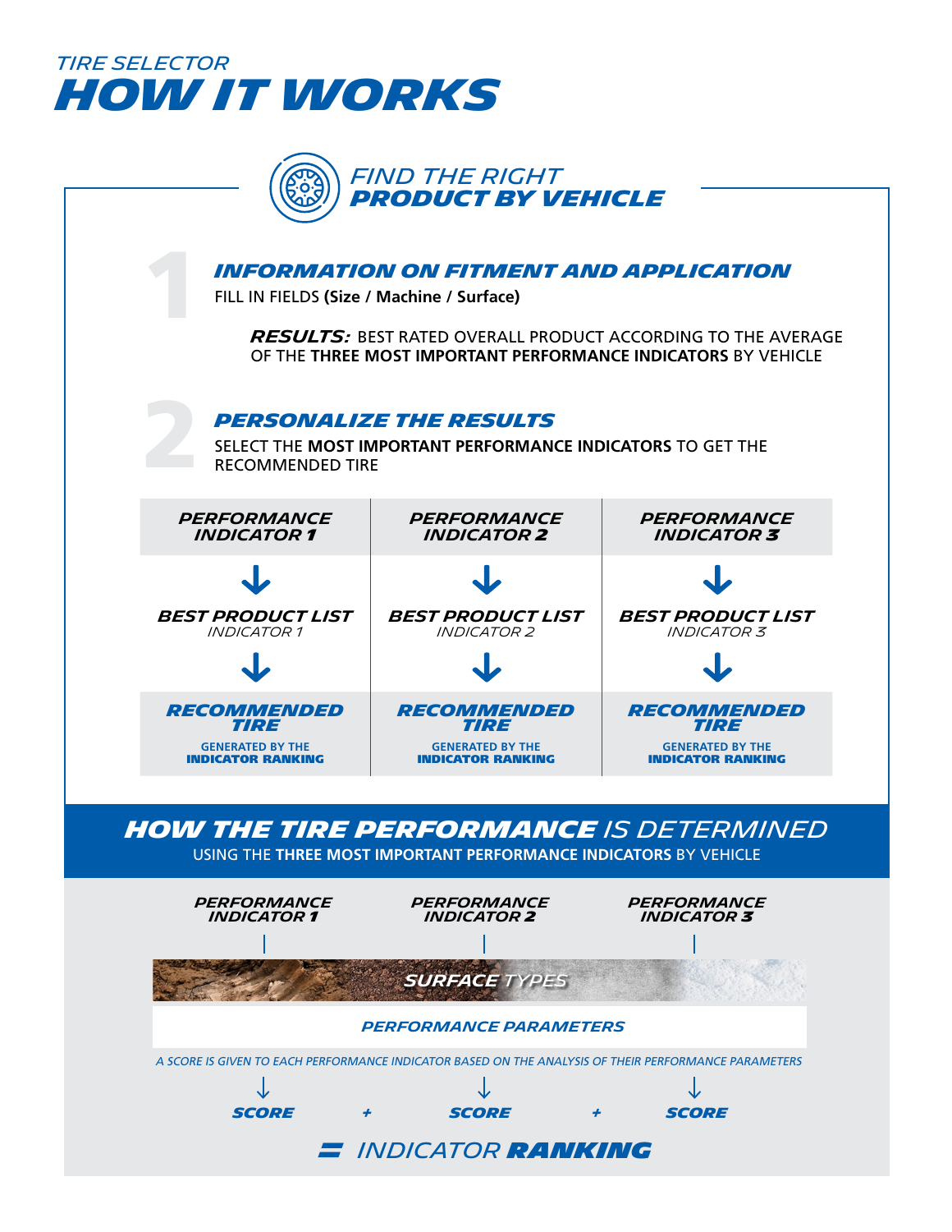



*How the TIRE performance is determined*

USING THE **THREE MOST IMPORTANT PERFORMANCE INDICATORS** BY VEHICLE